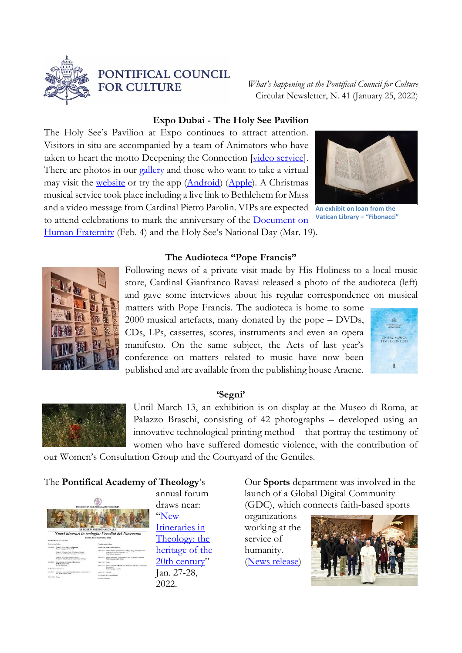

# PONTIFICAL COUNCIL **FOR CULTURE**

*What's happening at the Pontifical Council for Culture* Circular Newsletter, N. 41 (January 25, 2022)

### **Expo Dubai - The Holy See Pavilion**

The Holy See's Pavilion at Expo continues to attract attention. Visitors in situ are accompanied by a team of Animators who have taken to heart the motto Deepening the Connection [\[video service\]](https://www.youtube.com/watch?v=n72zAl-brB8). There are photos in our [gallery](https://flic.kr/s/aHsmWNEyZp) and those who want to take a virtual may visit the [website](https://vaticanexpo.com/) or try the app [\(Android\)](https://play.google.com/store/apps/details?id=com.holyseepavilion) [\(Apple\)](https://apps.apple.com/us/app/holy-see-pavilion/id1588638691). A Christmas musical service took place including a live link to Bethlehem for Mass and a video message from Cardinal Pietro Parolin. VIPs are expected to attend celebrations to mark the anniversary of the [Document on](https://www.vatican.va/content/francesco/en/travels/2019/outside/documents/papa-francesco_20190204_documento-fratellanza-umana.html)  [Human Fraternity](https://www.vatican.va/content/francesco/en/travels/2019/outside/documents/papa-francesco_20190204_documento-fratellanza-umana.html) (Feb. 4) and the Holy See's National Day (Mar. 19).



**An exhibit on loan from the Vatican Library – "Fibonacci"**

**The Audioteca "Pope Francis"** 



Following news of a private visit made by His Holiness to a local music store, Cardinal Gianfranco Ravasi released a photo of the audioteca (left) and gave some interviews about his regular correspondence on musical

matters with Pope Francis. The audioteca is home to some 2000 musical artefacts, many donated by the pope – DVDs, CDs, LPs, cassettes, scores, instruments and even an opera manifesto. On the same subject, the Acts of last year's conference on matters related to music have now been published and are available from the publishing house Aracne.



#### **'Segni'**



Until March 13, an exhibition is on display at the Museo di Roma, at Palazzo Braschi, consisting of 42 photographs – developed using an innovative technological printing method – that portray the testimony of women who have suffered domestic violence, with the contribution of

our Women's Consultation Group and the Courtyard of the Gentiles.

### The **Pontifical Academy of Theology**'s



annual forum draws near: "[New](http://www.cultura.va/content/dam/cultura/image/Collegamenti/accademie/teologia/XIForum.pdf)  [Itineraries in](http://www.cultura.va/content/dam/cultura/image/Collegamenti/accademie/teologia/XIForum.pdf)  [Theology: the](http://www.cultura.va/content/dam/cultura/image/Collegamenti/accademie/teologia/XIForum.pdf)  [heritage of the](http://www.cultura.va/content/dam/cultura/image/Collegamenti/accademie/teologia/XIForum.pdf)  [20th century](http://www.cultura.va/content/dam/cultura/image/Collegamenti/accademie/teologia/XIForum.pdf)" Jan. 27-28, 2022.

Our **Sports** department was involved in the launch of a Global Digital Community (GDC), which connects faith-based sports

organizations working at the service of humanity. [\(News release\)](http://savethedream.org/2021/12/20/save-the-dream-and-sport-for-humanity-sign-agreement-in-vatican-officially-launching-global-digital-community/)